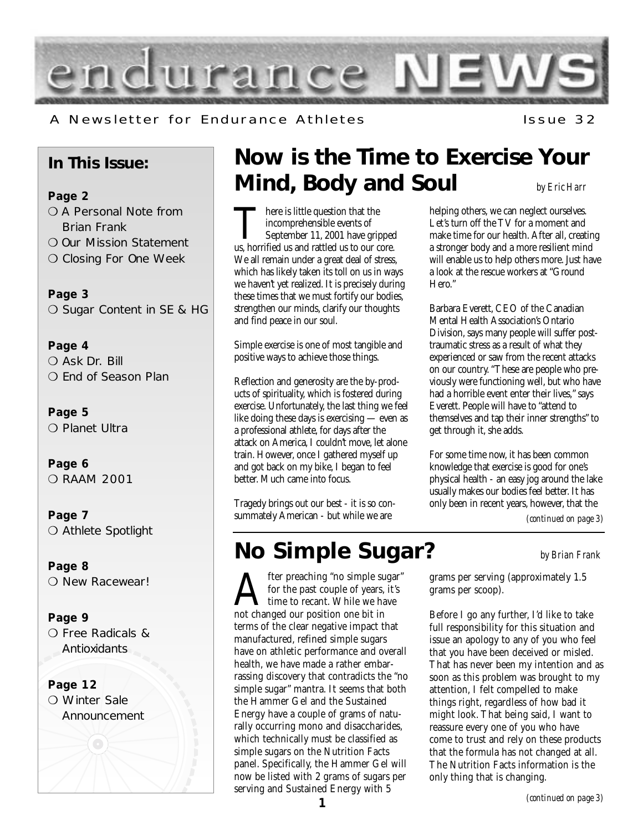

### A Newsletter for Endurance Athletes The Issue 32

### **In This Issue:**

**Page 2** O A Personal Note from Brian Frank

- ❍ Our Mission Statement
- ❍ Closing For One Week

**Page 3** ❍ Sugar Content in SE & HG

**Page 4** ❍ Ask Dr. Bill ❍ End of Season Plan

**Page 5** ❍ Planet Ultra

**Page 6** ❍ RAAM 2001

**Page 7** ❍ Athlete Spotlight

**Page 8** O New Racewear!

**Page 9** ❍ Free Radicals & Antioxidants

**Page 12** O Winter Sale Announcement

### **Now is the Time to Exercise Your Mind, Body and Soul** *by Eric Harr*

There is little question that the<br>incomprehensible events of<br>September 11, 2001 have gripped<br>us, horrified us and rattled us to our core. incomprehensible events of September 11, 2001 have gripped We all remain under a great deal of stress, which has likely taken its toll on us in ways we haven't yet realized. It is precisely during these times that we must fortify our bodies, strengthen our minds, clarify our thoughts and find peace in our soul.

Simple exercise is one of most tangible and positive ways to achieve those things.

Reflection and generosity are the by-products of spirituality, which is fostered during exercise. Unfortunately, the last thing we feel like doing these days is exercising — even as a professional athlete, for days after the attack on America, I couldn't move, let alone train. However, once I gathered myself up and got back on my bike, I began to feel better. Much came into focus.

Tragedy brings out our best - it is so consummately American - but while we are

### **No Simple Sugar?** *by Brian Frank*

fter preaching "no simple sugar"<br>for the past couple of years, it's<br>not changed our position one bit in for the past couple of years, it's **L** time to recant. While we have not changed our position one bit in terms of the clear negative impact that manufactured, refined simple sugars have on athletic performance and overall health, we have made a rather embarrassing discovery that contradicts the "no simple sugar" mantra. It seems that both the Hammer Gel and the Sustained Energy have a couple of grams of naturally occurring mono and disaccharides, which technically must be classified as simple sugars on the Nutrition Facts panel. Specifically, the Hammer Gel will now be listed with 2 grams of sugars per serving and Sustained Energy with 5

helping others, we can neglect ourselves. Let's turn off the TV for a moment and make time for our health. After all, creating a stronger body and a more resilient mind will enable us to help others more. Just have a look at the rescue workers at "Ground Hero."

Barbara Everett, CEO of the Canadian Mental Health Association's Ontario Division, says many people will suffer posttraumatic stress as a result of what they experienced or saw from the recent attacks on our country. "These are people who previously were functioning well, but who have had a horrible event enter their lives," says Everett. People will have to "attend to themselves and tap their inner strengths" to get through it, she adds.

For some time now, it has been common knowledge that exercise is good for one's physical health - an easy jog around the lake usually makes our bodies feel better. It has only been in recent years, however, that the

*(continued on page 3)*

grams per serving (approximately 1.5 grams per scoop).

Before I go any further, I'd like to take full responsibility for this situation and issue an apology to any of you who feel that you have been deceived or misled. That has never been my intention and as soon as this problem was brought to my attention, I felt compelled to make things right, regardless of how bad it might look. That being said, I want to reassure every one of you who have come to trust and rely on these products that the formula has not changed at all. The Nutrition Facts information is the only thing that is changing.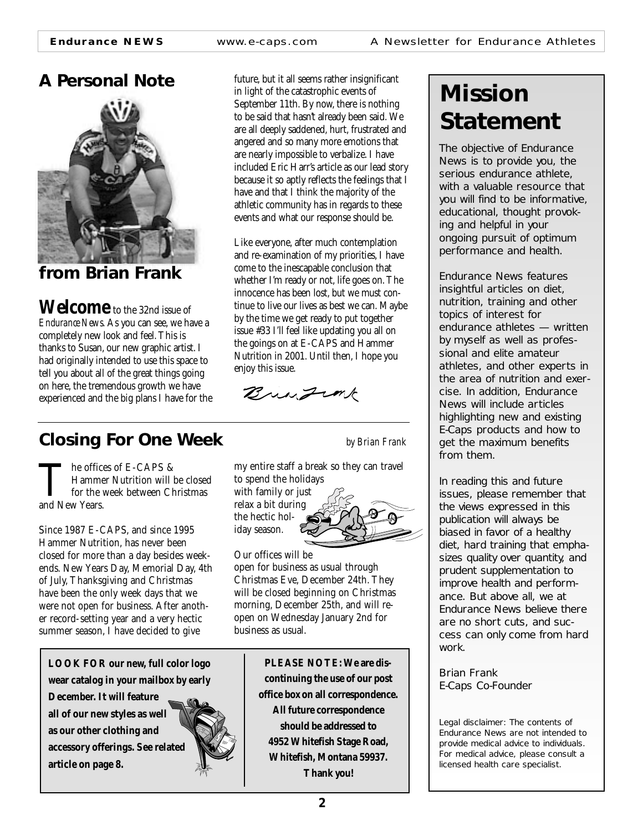**Endurance NEWS** www.e-caps.com A Newsletter for Endurance Athletes

### **A Personal Note**



**from Brian Frank**

**Welcome** to the 32nd issue of *Endurance News*. As you can see, we have a completely new look and feel. This is thanks to Susan, our new graphic artist. I had originally intended to use this space to tell you about all of the great things going on here, the tremendous growth we have experienced and the big plans I have for the future, but it all seems rather insignificant in light of the catastrophic events of September 11th. By now, there is nothing to be said that hasn't already been said. We are all deeply saddened, hurt, frustrated and angered and so many more emotions that are nearly impossible to verbalize. I have included Eric Harr's article as our lead story because it so aptly reflects the feelings that I have and that I think the majority of the athletic community has in regards to these events and what our response should be.

Like everyone, after much contemplation and re-examination of my priorities, I have come to the inescapable conclusion that whether I'm ready or not, life goes on. The innocence has been lost, but we must continue to live our lives as best we can. Maybe by the time we get ready to put together issue #33 I'll feel like updating you all on the goings on at E-CAPS and Hammer Nutrition in 2001. Until then, I hope you enjoy this issue.

Bringink

### **Closing For One Week** *by Brian Frank*

The offices of E-CAPS &<br>Hammer Nutrition will l<br>for the week between Ch<br>and New Years. Hammer Nutrition will be closed for the week between Christmas and New Years.

Since 1987 E-CAPS, and since 1995 Hammer Nutrition, has never been closed for more than a day besides weekends. New Years Day, Memorial Day, 4th of July, Thanksgiving and Christmas have been the only week days that we were not open for business. After another record-setting year and a very hectic summer season, I have decided to give

**LOOK FOR our new, full color logo wear catalog in your mailbox by early**

**December. It will feature all of our new styles as well as our other clothing and accessory offerings. See related article on page 8.**



my entire staff a break so they can travel to spend the holidays

with family or just relax a bit during the hectic holiday season.

Our offices will be open for business as usual through Christmas Eve, December 24th. They will be closed beginning on Christmas morning, December 25th, and will reopen on Wednesday January 2nd for business as usual.

> **PLEASE NOTE: We are discontinuing the use of our post office box on all correspondence. All future correspondence should be addressed to 4952 Whitefish Stage Road, Whitefish, Montana 59937. Thank you!**

### **Mission Statement**

The objective of Endurance News is to provide you, the serious endurance athlete, with a valuable resource that you will find to be informative, educational, thought provoking and helpful in your ongoing pursuit of optimum performance and health.

Endurance News features insightful articles on diet, nutrition, training and other topics of interest for endurance athletes — written by myself as well as professional and elite amateur athletes, and other experts in the area of nutrition and exercise. In addition, Endurance News will include articles highlighting new and existing E-Caps products and how to get the maximum benefits from them.

In reading this and future issues, please remember that the views expressed in this publication will always be biased in favor of a healthy diet, hard training that emphasizes quality over quantity, and prudent supplementation to improve health and performance. But above all, we at Endurance News believe there are no short cuts, and success can only come from hard work.

*Brian Frank E-Caps Co-Founder*

Legal disclaimer: The contents of Endurance News are not intended to provide medical advice to individuals. For medical advice, please consult a licensed health care specialist.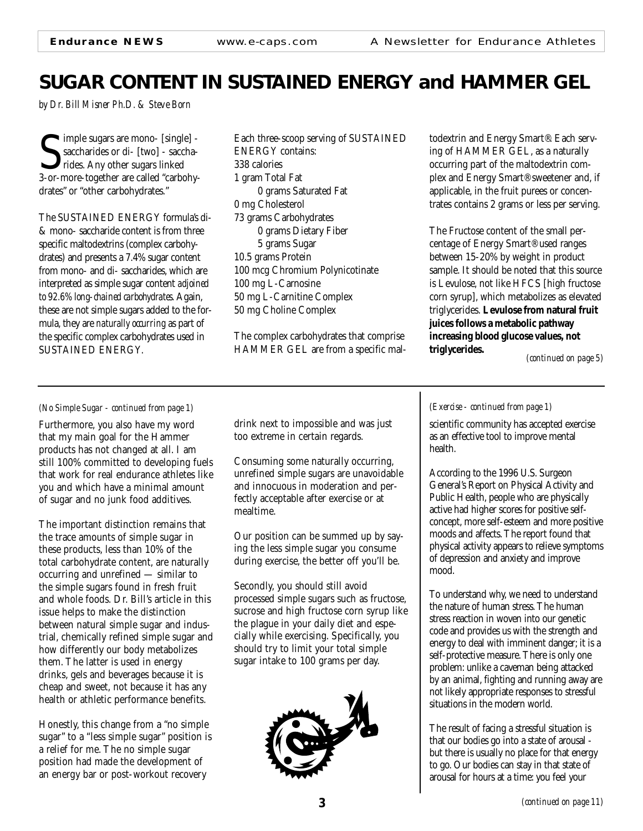### **SUGAR CONTENT IN SUSTAINED ENERGY and HAMMER GEL**

*by Dr. Bill Misner Ph.D. & Steve Born*

Sumple sugars are mono- [single] -<br>
Saccharides or di- [two] - saccha-<br>
3-or-more-together are called "carbohyimple sugars are mono- [single] saccharides or di- [two] - saccharides. Any other sugars linked drates" or "other carbohydrates."

The SUSTAINED ENERGY formula's di- & mono- saccharide content is from three specific maltodextrins (complex carbohydrates) and presents a 7.4% sugar content from mono- and di- saccharides, which are interpreted as simple sugar content *adjoined to 92.6% long-chained carbohydrates*. Again, these are not simple sugars added to the formula, they are *naturally occurring* as part of the specific complex carbohydrates used in SUSTAINED ENERGY.

Each three-scoop serving of SUSTAINED ENERGY contains: 338 calories 1 gram Total Fat 0 grams Saturated Fat 0 mg Cholesterol 73 grams Carbohydrates 0 grams Dietary Fiber 5 grams Sugar 10.5 grams Protein 100 mcg Chromium Polynicotinate 100 mg L-Carnosine 50 mg L-Carnitine Complex 50 mg Choline Complex

The complex carbohydrates that comprise HAMMER GEL are from a specific maltodextrin and Energy Smart®. Each serving of HAMMER GEL, as a naturally occurring part of the maltodextrin complex and Energy Smart® sweetener and, if applicable, in the fruit purees or concentrates contains 2 grams or less per serving.

The Fructose content of the small percentage of Energy Smart® used ranges between 15-20% by weight in product sample. It should be noted that this source is Levulose, not like HFCS [high fructose corn syrup], which metabolizes as elevated triglycerides. **Levulose from natural fruit juices follows a metabolic pathway increasing blood glucose values, not triglycerides.**

*(continued on page 5)*

#### *(No Simple Sugar - continued from page 1)*

Furthermore, you also have my word that my main goal for the Hammer products has not changed at all. I am still 100% committed to developing fuels that work for real endurance athletes like you and which have a minimal amount of sugar and no junk food additives.

The important distinction remains that the trace amounts of simple sugar in these products, less than 10% of the total carbohydrate content, are naturally occurring and unrefined — similar to the simple sugars found in fresh fruit and whole foods. Dr. Bill's article in this issue helps to make the distinction between natural simple sugar and industrial, chemically refined simple sugar and how differently our body metabolizes them. The latter is used in energy drinks, gels and beverages because it is cheap and sweet, not because it has any health or athletic performance benefits.

Honestly, this change from a "no simple sugar" to a "less simple sugar" position is a relief for me. The no simple sugar position had made the development of an energy bar or post-workout recovery

drink next to impossible and was just too extreme in certain regards.

Consuming some naturally occurring, unrefined simple sugars are unavoidable and innocuous in moderation and perfectly acceptable after exercise or at mealtime.

Our position can be summed up by saying the less simple sugar you consume during exercise, the better off you'll be.

Secondly, you should still avoid processed simple sugars such as fructose, sucrose and high fructose corn syrup like the plague in your daily diet and especially while exercising. Specifically, you should try to limit your total simple sugar intake to 100 grams per day.



#### *(Exercise - continued from page 1)*

scientific community has accepted exercise as an effective tool to improve mental health.

According to the 1996 U.S. Surgeon General's Report on Physical Activity and Public Health, people who are physically active had higher scores for positive selfconcept, more self-esteem and more positive moods and affects. The report found that physical activity appears to relieve symptoms of depression and anxiety and improve mood.

To understand why, we need to understand the nature of human stress. The human stress reaction in woven into our genetic code and provides us with the strength and energy to deal with imminent danger; it is a self-protective measure. There is only one problem: unlike a caveman being attacked by an animal, fighting and running away are not likely appropriate responses to stressful situations in the modern world.

The result of facing a stressful situation is that our bodies go into a state of arousal but there is usually no place for that energy to go. Our bodies can stay in that state of arousal for hours at a time: you feel your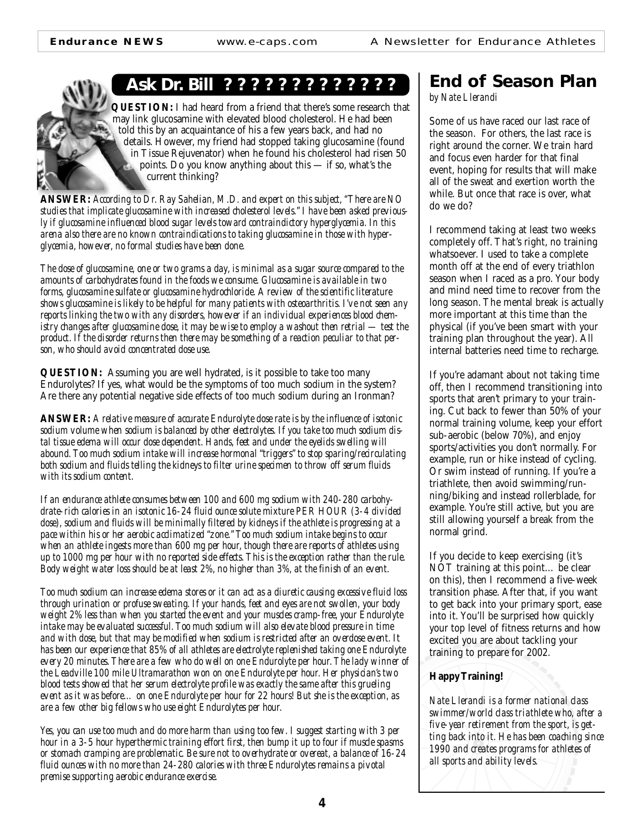### **Ask Dr. Bill ? ? ? ? ? ? ? ? ? ? ? ? ?**

**QUESTION:** I had heard from a friend that there's some research that may link glucosamine with elevated blood cholesterol. He had been told this by an acquaintance of his a few years back, and had no details. However, my friend had stopped taking glucosamine (found in Tissue Rejuvenator) when he found his cholesterol had risen 50 points. Do you know anything about this — if so, what's the current thinking?

**ANSWER:** *According to Dr. Ray Sahelian, M.D. and expert on this subject, "There are NO studies that implicate glucosamine with increased cholesterol levels." I have been asked previously if glucosamine influenced blood sugar levels toward contraindictory hyperglycemia. In this arena also there are no known contraindications to taking glucosamine in those with hyperglycemia, however, no formal studies have been done.*

*The dose of glucosamine, one or two grams a day, is minimal as a sugar source compared to the amounts of carbohydrates found in the foods we consume. Glucosamine is available in two forms, glucosamine sulfate or glucosamine hydrochloride. A review of the scientific literature shows glucosamine is likely to be helpful for many patients with osteoarthritis. I've not seen any reports linking the two with any disorders, however if an individual experiences blood chemistry changes after glucosamine dose, it may be wise to employ a washout then retrial — test the product. If the disorder returns then there may be something of a reaction peculiar to that person, who should avoid concentrated dose use.*

**QUESTION:** Assuming you are well hydrated, is it possible to take too many Endurolytes? If yes, what would be the symptoms of too much sodium in the system? Are there any potential negative side effects of too much sodium during an Ironman?

**ANSWER:** *A relative measure of accurate Endurolyte dose rate is by the influence of isotonic sodium volume when sodium is balanced by other electrolytes. If you take too much sodium distal tissue edema will occur dose dependent. Hands, feet and under the eyelids swelling will abound. Too much sodium intake will increase hormonal "triggers" to stop sparing/recirculating both sodium and fluids telling the kidneys to filter urine specimen to throw off serum fluids with its sodium content.*

*If an endurance athlete consumes between 100 and 600 mg sodium with 240-280 carbohydrate-rich calories in an isotonic 16-24 fluid ounce solute mixture PER HOUR (3-4 divided dose), sodium and fluids will be minimally filtered by kidneys if the athlete is progressing at a pace within his or her aerobic acclimatized "zone." Too much sodium intake begins to occur when an athlete ingests more than 600 mg per hour, though there are reports of athletes using up to 1000 mg per hour with no reported side effects. This is the exception rather than the rule. Body weight water loss should be at least 2%, no higher than 3%, at the finish of an event.*

*Too much sodium can increase edema stores or it can act as a diuretic causing excessive fluid loss through urination or profuse sweating. If your hands, feet and eyes are not swollen, your body weight 2% less than when you started the event and your muscles cramp-free, your Endurolyte intake may be evaluated successful. Too much sodium will also elevate blood pressure in time and with dose, but that may be modified when sodium is restricted after an overdose event. It has been our experience that 85% of all athletes are electrolyte replenished taking one Endurolyte every 20 minutes. There are a few who do well on one Endurolyte per hour. The lady winner of the Leadville 100 mile Ultramarathon won on one Endurolyte per hour. Her physician's two blood tests showed that her serum electrolyte profile was exactly the same after this grueling event as it was before… on one Endurolyte per hour for 22 hours! But she is the exception, as are a few other big fellows who use eight Endurolytes per hour.*

*Yes, you can use too much and do more harm than using too few. I suggest starting with 3 per hour in a 3-5 hour hyperthermic training effort first, then bump it up to four if muscle spasms or stomach cramping are problematic. Be sure not to overhydrate or overeat, a balance of 16-24 fluid ounces with no more than 24-280 calories with three Endurolytes remains a pivotal premise supporting aerobic endurance exercise.*

### **End of Season Plan**

*by Nate Llerandi*

Some of us have raced our last race of the season. For others, the last race is right around the corner. We train hard and focus even harder for that final event, hoping for results that will make all of the sweat and exertion worth the while. But once that race is over, what do we do?

I recommend taking at least two weeks completely off. That's right, no training whatsoever. I used to take a complete month off at the end of every triathlon season when I raced as a pro. Your body and mind need time to recover from the long season. The mental break is actually more important at this time than the physical (if you've been smart with your training plan throughout the year). All internal batteries need time to recharge.

If you're adamant about not taking time off, then I recommend transitioning into sports that aren't primary to your training. Cut back to fewer than 50% of your normal training volume, keep your effort sub-aerobic (below 70%), and enjoy sports/activities you don't normally. For example, run or hike instead of cycling. Or swim instead of running. If you're a triathlete, then avoid swimming/running/biking and instead rollerblade, for example. You're still active, but you are still allowing yourself a break from the normal grind.

If you decide to keep exercising (it's NOT training at this point… be clear on this), then I recommend a five-week transition phase. After that, if you want to get back into your primary sport, ease into it. You'll be surprised how quickly your top level of fitness returns and how excited you are about tackling your training to prepare for 2002.

#### **Happy Training!**

*Nate Llerandi is a former national class swimmer/world class triathlete who, after a five-year retirement from the sport, is getting back into it. He has been coaching since 1990 and creates programs for athletes of all sports and ability levels.*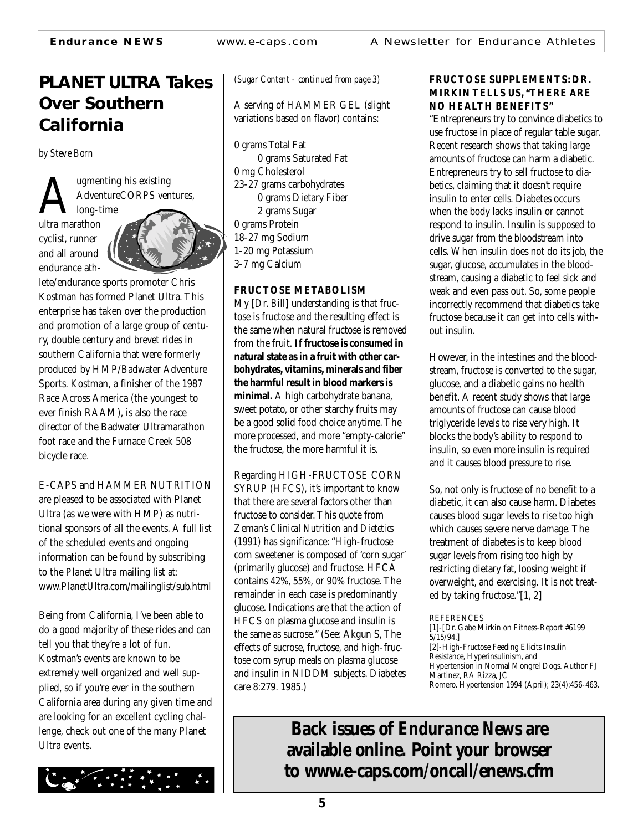**Endurance NEWS** www.e-caps.com A Newsletter for Endurance Athletes

### **PLANET ULTRA Takes Over Southern California**

*by Steve Born*

Augmenting his existing<br>AdventureCORPS ven<br>ultra marathon AdventureCORPS ventures,

long-time ultra marathon cyclist, runner and all around endurance ath-



lete/endurance sports promoter Chris Kostman has formed Planet Ultra. This enterprise has taken over the production and promotion of a large group of century, double century and brevet rides in southern California that were formerly produced by HMP/Badwater Adventure Sports. Kostman, a finisher of the 1987 Race Across America (the youngest to ever finish RAAM), is also the race director of the Badwater Ultramarathon foot race and the Furnace Creek 508 bicycle race.

### E-CAPS and HAMMER NUTRITION

are pleased to be associated with Planet Ultra (as we were with HMP) as nutritional sponsors of all the events. A full list of the scheduled events and ongoing information can be found by subscribing to the Planet Ultra mailing list at: www.PlanetUltra.com/mailinglist/sub.html

Being from California, I've been able to do a good majority of these rides and can tell you that they're a lot of fun. Kostman's events are known to be extremely well organized and well supplied, so if you're ever in the southern California area during any given time and are looking for an excellent cycling challenge, check out one of the many Planet Ultra events.



*(Sugar Content - continued from page 3)*

A serving of HAMMER GEL (slight variations based on flavor) contains:

0 grams Total Fat 0 grams Saturated Fat 0 mg Cholesterol 23-27 grams carbohydrates 0 grams Dietary Fiber 2 grams Sugar 0 grams Protein 18-27 mg Sodium 1-20 mg Potassium 3-7 mg Calcium

#### **FRUCTOSE METABOLISM**

My [Dr. Bill] understanding is that fructose is fructose and the resulting effect is the same when natural fructose is removed from the fruit. **If fructose is consumed in natural state as in a fruit with other carbohydrates, vitamins, minerals and fiber the harmful result in blood markers is minimal***.* A high carbohydrate banana, sweet potato, or other starchy fruits may be a good solid food choice anytime. The more processed, and more "empty-calorie" the fructose, the more harmful it is.

Regarding HIGH-FRUCTOSE CORN SYRUP (HFCS), it's important to know that there are several factors other than fructose to consider. This quote from Zeman's *Clinical Nutrition and Dietetics* (1991) has significance: "High-fructose corn sweetener is composed of 'corn sugar' (primarily glucose) and fructose. HFCA contains 42%, 55%, or 90% fructose. The remainder in each case is predominantly glucose. Indications are that the action of HFCS on plasma glucose and insulin is the same as sucrose." (See: Akgun S, The effects of sucrose, fructose, and high-fructose corn syrup meals on plasma glucose and insulin in NIDDM subjects. Diabetes care 8:279. 1985.)

#### **FRUCTOSE SUPPLEMENTS: DR. MIRKIN TELLS US, "THERE ARE NO HEALTH BENEFITS"**

"Entrepreneurs try to convince diabetics to use fructose in place of regular table sugar. Recent research shows that taking large amounts of fructose can harm a diabetic. Entrepreneurs try to sell fructose to diabetics, claiming that it doesn't require insulin to enter cells. Diabetes occurs when the body lacks insulin or cannot respond to insulin. Insulin is supposed to drive sugar from the bloodstream into cells. When insulin does not do its job, the sugar, glucose, accumulates in the bloodstream, causing a diabetic to feel sick and weak and even pass out. So, some people incorrectly recommend that diabetics take fructose because it can get into cells without insulin.

However, in the intestines and the bloodstream, fructose is converted to the sugar, glucose, and a diabetic gains no health benefit. A recent study shows that large amounts of fructose can cause blood triglyceride levels to rise very high. It blocks the body's ability to respond to insulin, so even more insulin is required and it causes blood pressure to rise.

So, not only is fructose of no benefit to a diabetic, it can also cause harm. Diabetes causes blood sugar levels to rise too high which causes severe nerve damage. The treatment of diabetes is to keep blood sugar levels from rising too high by restricting dietary fat, loosing weight if overweight, and exercising. It is not treated by taking fructose."[1, 2]

#### **REFERENCES**

**Back issues of** *Endurance New***s are available online. Point your browser to www.e-caps.com/oncall/enews.cfm**

<sup>[1]-[</sup>Dr. Gabe Mirkin on Fitness-Report #6199 5/15/94.] [2]-High-Fructose Feeding Elicits Insulin Resistance, Hyperinsulinism, and Hypertension in Normal Mongrel Dogs. Author FJ Martinez, RA Rizza, JC Romero. Hypertension 1994 (April); 23(4):456-463.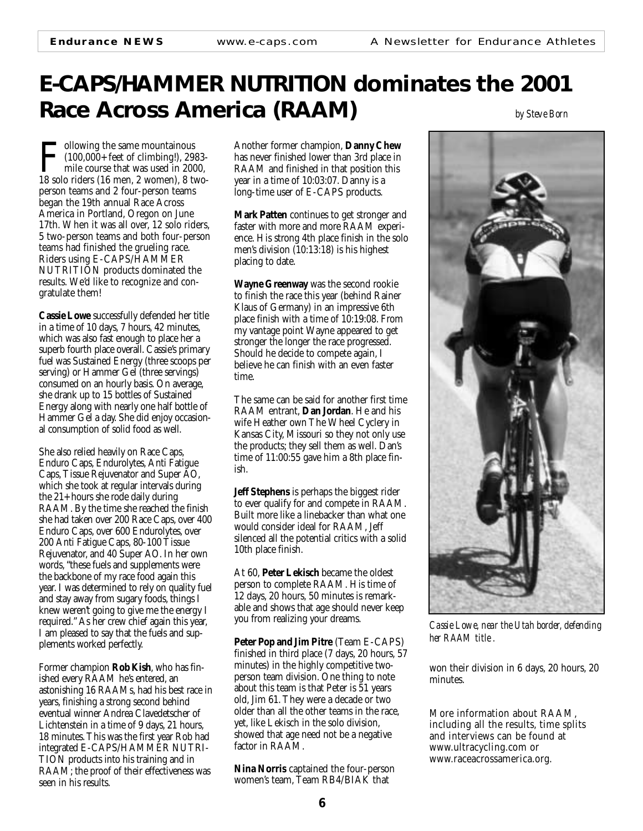### **E-CAPS/HAMMER NUTRITION dominates the 2001 Race Across America (RAAM)** *by Steve Born*

Following the same mountainous<br>
(100,000+ feet of climbing!), 2983-<br>
mile course that was used in 2000,<br>
18 solo riders (16 men, 2 women), 8 two- $\blacktriangleleft$  (100,000+ feet of climbing!), 2983mile course that was used in 2000, person teams and 2 four-person teams began the 19th annual Race Across America in Portland, Oregon on June 17th. When it was all over, 12 solo riders, 5 two-person teams and both four-person teams had finished the grueling race. Riders using E-CAPS/HAMMER NUTRITION products dominated the results. We'd like to recognize and congratulate them!

**Cassie Lowe** successfully defended her title in a time of 10 days, 7 hours, 42 minutes, which was also fast enough to place her a superb fourth place overall. Cassie's primary fuel was Sustained Energy (three scoops per serving) or Hammer Gel (three servings) consumed on an hourly basis. On average, she drank up to 15 bottles of Sustained Energy along with nearly one half bottle of Hammer Gel a day. She did enjoy occasional consumption of solid food as well.

She also relied heavily on Race Caps, Enduro Caps, Endurolytes, Anti Fatigue Caps, Tissue Rejuvenator and Super AO, which she took at regular intervals during the 21+ hours she rode daily during RAAM. By the time she reached the finish she had taken over 200 Race Caps, over 400 Enduro Caps, over 600 Endurolytes, over 200 Anti Fatigue Caps, 80-100 Tissue Rejuvenator, and 40 Super AO. In her own words, "these fuels and supplements were the backbone of my race food again this year. I was determined to rely on quality fuel and stay away from sugary foods, things I knew weren't going to give me the energy I required." As her crew chief again this year, I am pleased to say that the fuels and supplements worked perfectly.

Former champion **Rob Kish**, who has finished every RAAM he's entered, an astonishing 16 RAAMs, had his best race in years, finishing a strong second behind eventual winner Andrea Clavedetscher of Lichtenstein in a time of 9 days, 21 hours, 18 minutes. This was the first year Rob had integrated E-CAPS/HAMMER NUTRI-TION products into his training and in RAAM; the proof of their effectiveness was seen in his results.

Another former champion, **Danny Chew** has never finished lower than 3rd place in RAAM and finished in that position this year in a time of 10:03:07. Danny is a long-time user of E-CAPS products.

**Mark Patten** continues to get stronger and faster with more and more RAAM experience. His strong 4th place finish in the solo men's division (10:13:18) is his highest placing to date.

**Wayne Greenway** was the second rookie to finish the race this year (behind Rainer Klaus of Germany) in an impressive 6th place finish with a time of 10:19:08. From my vantage point Wayne appeared to get stronger the longer the race progressed. Should he decide to compete again, I believe he can finish with an even faster time.

The same can be said for another first time RAAM entrant, **Dan Jordan**. He and his wife Heather own The Wheel Cyclery in Kansas City, Missouri so they not only use the products; they sell them as well. Dan's time of 11:00:55 gave him a 8th place finish.

**Jeff Stephens** is perhaps the biggest rider to ever qualify for and compete in RAAM. Built more like a linebacker than what one would consider ideal for RAAM, Jeff silenced all the potential critics with a solid 10th place finish.

At 60, **Peter Lekisch** became the oldest person to complete RAAM. His time of 12 days, 20 hours, 50 minutes is remarkable and shows that age should never keep you from realizing your dreams.

**Peter Pop and Jim Pitre** (Team E-CAPS) finished in third place (7 days, 20 hours, 57 minutes) in the highly competitive twoperson team division. One thing to note about this team is that Peter is 51 years old, Jim 61. They were a decade or two older than all the other teams in the race, yet, like Lekisch in the solo division, showed that age need not be a negative factor in RAAM.

**Nina Norris** captained the four-person women's team, Team RB4/BIAK that



*Cassie Lowe, near the Utah border, defending her RAAM title .*

won their division in 6 days, 20 hours, 20 minutes.

More information about RAAM, including all the results, time splits and interviews can be found at www.ultracycling.com or www.raceacrossamerica.org.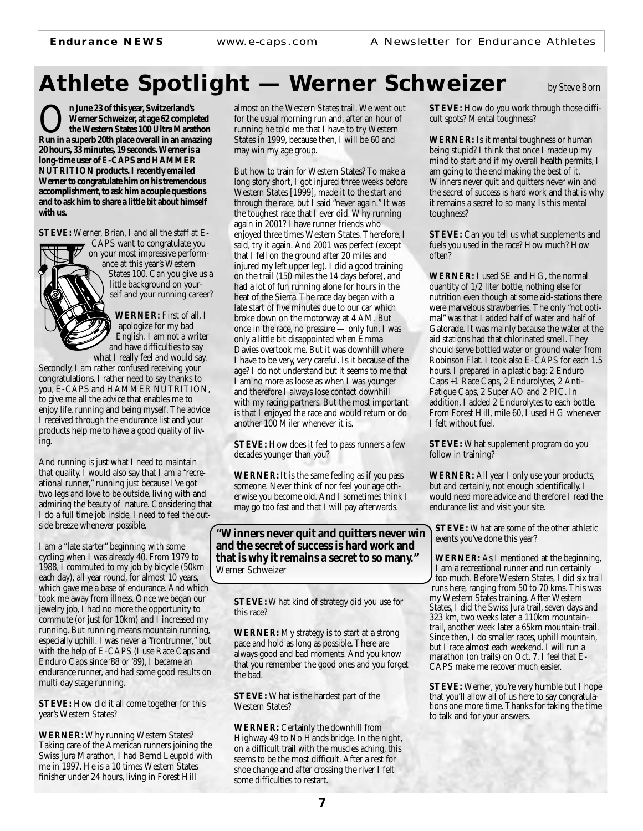### **Athlete Spotlight — Werner Schweizer** *by Steve Born*

O**n June 23 of this year, Switzerland's Run in a superb 20th place overall in an amazing Werner Schweizer, at age 62 completed the Western States 100 Ultra Marathon 20 hours, 33 minutes, 19 seconds. Werner is a long-time user of E-CAPS and HAMMER NUTRITION products. I recently emailed Werner to congratulate him on his tremendous accomplishment, to ask him a couple questions and to ask him to share a little bit about himself with us.**

**STEVE:** Werner, Brian, I and all the staff at E-



CAPS want to congratulate you on your most impressive performance at this year's Western States 100. Can you give us a little background on yourself and your running career?

**WERNER:** First of all, I apologize for my bad English. I am not a writer and have difficulties to say what I really feel and would say.

Secondly, I am rather confused receiving your congratulations. I rather need to say thanks to you, E-CAPS and HAMMER NUTRITION, to give me all the advice that enables me to enjoy life, running and being myself. The advice I received through the endurance list and your products help me to have a good quality of living.

And running is just what I need to maintain that quality. I would also say that I am a "recreational runner," running just because I've got two legs and love to be outside, living with and admiring the beauty of nature. Considering that I do a full time job inside, I need to feel the outside breeze whenever possible.

I am a "late starter" beginning with some cycling when I was already 40. From 1979 to 1988, I commuted to my job by bicycle (50km each day), all year round, for almost 10 years, which gave me a base of endurance. And which took me away from illness. Once we began our jewelry job, I had no more the opportunity to commute (or just for 10km) and I increased my running. But running means mountain running, especially uphill. I was never a "frontrunner," but with the help of E-CAPS (I use Race Caps and Enduro Caps since '88 or '89), I became an endurance runner, and had some good results on multi day stage running.

**STEVE:** How did it all come together for this year's Western States?

**WERNER:**Why running Western States? Taking care of the American runners joining the Swiss Jura Marathon, I had Bernd Leupold with me in 1997. He is a 10 times Western States finisher under 24 hours, living in Forest Hill

almost on the Western States trail. We went out for the usual morning run and, after an hour of running he told me that I have to try Western States in 1999, because then, I will be 60 and may win my age group.

But how to train for Western States? To make a long story short, I got injured three weeks before Western States [1999], made it to the start and through the race, but I said "never again." It was the toughest race that I ever did. Why running again in 2001? I have runner friends who enjoyed three times Western States. Therefore, I said, try it again. And 2001 was perfect (except that I fell on the ground after 20 miles and injured my left upper leg). I did a good training on the trail (150 miles the 14 days before), and had a lot of fun running alone for hours in the heat of the Sierra. The race day began with a late start of five minutes due to our car which broke down on the motorway at 4 AM. But once in the race, no pressure — only fun. I was only a little bit disappointed when Emma Davies overtook me. But it was downhill where I have to be very, very careful. Is it because of the age? I do not understand but it seems to me that I am no more as loose as when I was younger and therefore I always lose contact downhill with my racing partners. But the most important is that I enjoyed the race and would return or do another 100 Miler whenever it is.

**STEVE:** How does it feel to pass runners a few decades younger than you?

**WERNER:**It is the same feeling as if you pass someone. Never think of nor feel your age otherwise you become old. And I sometimes think I may go too fast and that I will pay afterwards.

**"Winners never quit and quitters never win and the secret of success is hard work and that is why it remains a secret to so many."** Werner Schweizer

**STEVE:** What kind of strategy did you use for this race?

**WERNER:** My strategy is to start at a strong pace and hold as long as possible. There are always good and bad moments. And you know that you remember the good ones and you forget the bad.

**STEVE:** What is the hardest part of the Western States?

**WERNER:** Certainly the downhill from Highway 49 to No Hands bridge. In the night, on a difficult trail with the muscles aching, this seems to be the most difficult. After a rest for shoe change and after crossing the river I felt some difficulties to restart.

**STEVE:** How do you work through those difficult spots? Mental toughness?

**WERNER:** Is it mental toughness or human being stupid? I think that once I made up my mind to start and if my overall health permits, I am going to the end making the best of it. Winners never quit and quitters never win and the secret of success is hard work and that is why it remains a secret to so many. Is this mental toughness?

**STEVE:** Can you tell us what supplements and fuels you used in the race? How much? How often?

**WERNER:** I used SE and HG, the normal quantity of 1/2 liter bottle, nothing else for nutrition even though at some aid-stations there were marvelous strawberries. The only "not optimal" was that I added half of water and half of Gatorade. It was mainly because the water at the aid stations had that chlorinated smell. They should serve bottled water or ground water from Robinson Flat. I took also E-CAPS for each 1.5 hours. I prepared in a plastic bag: 2 Enduro Caps +1 Race Caps, 2 Endurolytes, 2 Anti-Fatigue Caps, 2 Super AO and 2 PIC. In addition, I added 2 Endurolytes to each bottle. From Forest Hill, mile 60, I used HG whenever I felt without fuel.

**STEVE:** What supplement program do you follow in training?

**WERNER:** All year I only use your products, but and certainly, not enough scientifically. I would need more advice and therefore I read the endurance list and visit your site.

**STEVE:** What are some of the other athletic events you've done this year?

**WERNER:** As I mentioned at the beginning, I am a recreational runner and run certainly too much. Before Western States, I did six trail runs here, ranging from 50 to 70 kms. This was my Western States training. After Western States, I did the Swiss Jura trail, seven days and 323 km, two weeks later a 110km mountaintrail, another week later a 65km mountain-trail. Since then, I do smaller races, uphill mountain, but I race almost each weekend. I will run a marathon (on trails) on Oct. 7. I feel that E-CAPS make me recover much easier.

**STEVE:** Werner, you're very humble but I hope that you'll allow all of us here to say congratulations one more time. Thanks for taking the time to talk and for your answers.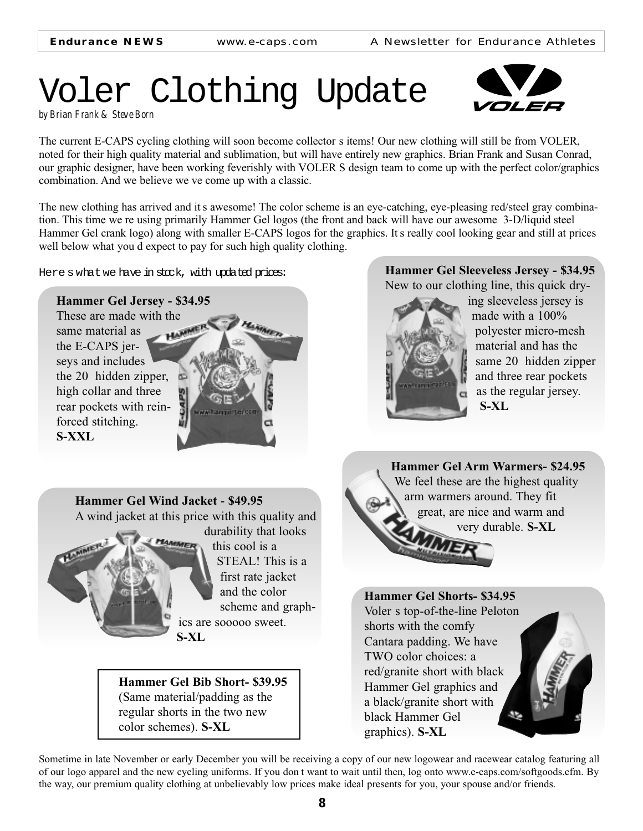## Voler Clothing Update



The current E-CAPS cycling clothing will soon become collector s items! Our new clothing will still be from VOLER, noted for their high quality material and sublimation, but will have entirely new graphics. Brian Frank and Susan Conrad, our graphic designer, have been working feverishly with VOLER S design team to come up with the perfect color/graphics combination. And we believe we ve come up with a classic.

The new clothing has arrived and it s awesome! The color scheme is an eye-catching, eye-pleasing red/steel gray combination. This time we re using primarily Hammer Gel logos (the front and back will have our awesome 3-D/liquid steel Hammer Gel crank logo) along with smaller E-CAPS logos for the graphics. It s really cool looking gear and still at prices well below what you d expect to pay for such high quality clothing.

Here s what we have in stock, with updated prices:

### **Hammer Gel Jersey - \$34.95**

These are made with the same material as same material as the E-CAPS jerseys and includes the 20 hidden zipper, high collar and three rear pockets with reinforced stitching. **S-XXL**



**Hammer Gel Sleeveless Jersey - \$34.95**  New to our clothing line, this quick dry-



ing sleeveless jersey is made with a 100% polyester micro-mesh material and has the same 20 hidden zipper and three rear pockets as the regular jersey. **S-XL**

**Hammer Gel Wind Jacket** - **\$49.95**

A wind jacket at this price with this quality and



durability that looks this cool is a STEAL! This is a first rate jacket and the color scheme and graphics are sooooo sweet.

**Hammer Gel Bib Short- \$39.95** (Same material/padding as the regular shorts in the two new color schemes). **S-XL**



### **Hammer Gel Shorts- \$34.95** Voler s top-of-the-line Peloton

shorts with the comfy Cantara padding. We have TWO color choices: a red/granite short with black Hammer Gel graphics and a black/granite short with black Hammer Gel S. graphics). **S-XL**

Sometime in late November or early December you will be receiving a copy of our new logowear and racewear catalog featuring all of our logo apparel and the new cycling uniforms. If you don t want to wait until then, log onto www.e-caps.com/softgoods.cfm. By the way, our premium quality clothing at unbelievably low prices make ideal presents for you, your spouse and/or friends.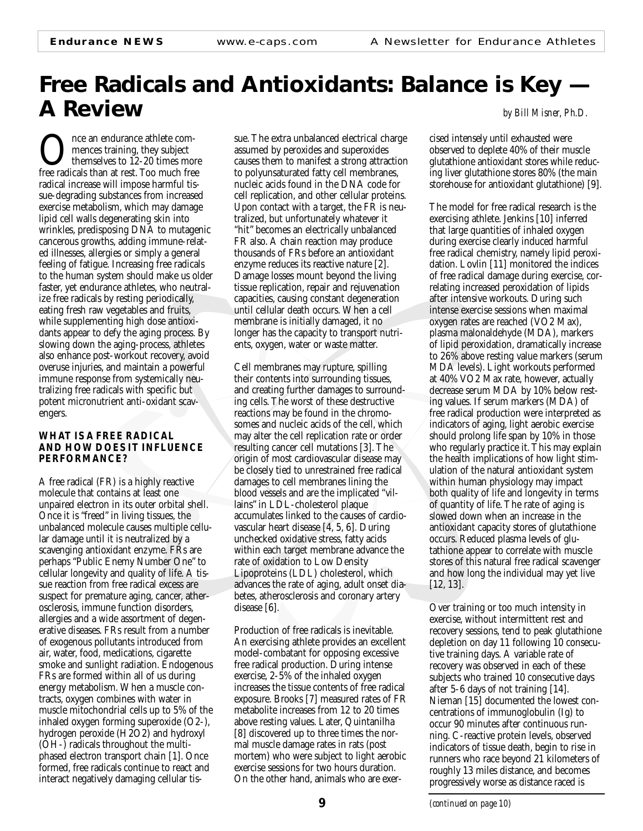### **Free Radicals and Antioxidants: Balance is Key — A Review** *by Bill Misner, Ph.D.*

Once an endurance athlete com-<br>mences training, they subject<br>free radicals than at rest. Too much free mences training, they subject themselves to 12-20 times more radical increase will impose harmful tissue-degrading substances from increased exercise metabolism, which may damage lipid cell walls degenerating skin into wrinkles, predisposing DNA to mutagenic cancerous growths, adding immune-related illnesses, allergies or simply a general feeling of fatigue. Increasing free radicals to the human system should make us older faster, yet endurance athletes, who neutralize free radicals by resting periodically, eating fresh raw vegetables and fruits, while supplementing high dose antioxidants appear to defy the aging process. By slowing down the aging-process, athletes also enhance post-workout recovery, avoid overuse injuries, and maintain a powerful immune response from systemically neutralizing free radicals with specific but potent micronutrient anti-oxidant scavengers.

#### **WHAT IS A FREE RADICAL AND HOW DOES IT INFLUENCE PERFORMANCE?**

A free radical (FR) is a highly reactive molecule that contains at least one unpaired electron in its outer orbital shell. Once it is "freed" in living tissues, the unbalanced molecule causes multiple cellular damage until it is neutralized by a scavenging antioxidant enzyme. FRs are perhaps "Public Enemy Number One" to cellular longevity and quality of life. A tissue reaction from free radical excess are suspect for premature aging, cancer, atherosclerosis, immune function disorders, allergies and a wide assortment of degenerative diseases. FRs result from a number of exogenous pollutants introduced from air, water, food, medications, cigarette smoke and sunlight radiation. Endogenous FRs are formed within all of us during energy metabolism. When a muscle contracts, oxygen combines with water in muscle mitochondrial cells up to 5% of the inhaled oxygen forming superoxide (O2-), hydrogen peroxide (H2O2) and hydroxyl (OH-) radicals throughout the multiphased electron transport chain [1]. Once formed, free radicals continue to react and interact negatively damaging cellular tissue. The extra unbalanced electrical charge assumed by peroxides and superoxides causes them to manifest a strong attraction to polyunsaturated fatty cell membranes, nucleic acids found in the DNA code for cell replication, and other cellular proteins. Upon contact with a target, the FR is neutralized, but unfortunately whatever it "hit" becomes an electrically unbalanced FR also. A chain reaction may produce thousands of FRs before an antioxidant enzyme reduces its reactive nature [2]. Damage losses mount beyond the living tissue replication, repair and rejuvenation capacities, causing constant degeneration until cellular death occurs. When a cell membrane is initially damaged, it no longer has the capacity to transport nutrients, oxygen, water or waste matter.

Cell membranes may rupture, spilling their contents into surrounding tissues, and creating further damages to surrounding cells. The worst of these destructive reactions may be found in the chromosomes and nucleic acids of the cell, which may alter the cell replication rate or order resulting cancer cell mutations [3]. The origin of most cardiovascular disease may be closely tied to unrestrained free radical damages to cell membranes lining the blood vessels and are the implicated "villains" in LDL-cholesterol plaque accumulates linked to the causes of cardiovascular heart disease [4, 5, 6]. During unchecked oxidative stress, fatty acids within each target membrane advance the rate of oxidation to Low Density Lipoproteins (LDL) cholesterol, which advances the rate of aging, adult onset diabetes, atherosclerosis and coronary artery disease [6].

Production of free radicals is inevitable. An exercising athlete provides an excellent model-combatant for opposing excessive free radical production. During intense exercise, 2-5% of the inhaled oxygen increases the tissue contents of free radical exposure. Brooks [7] measured rates of FR metabolite increases from 12 to 20 times above resting values. Later, Quintanilha [8] discovered up to three times the normal muscle damage rates in rats (post mortem) who were subject to light aerobic exercise sessions for two hours duration. On the other hand, animals who are exercised intensely until exhausted were observed to deplete 40% of their muscle glutathione antioxidant stores while reducing liver glutathione stores 80% (the main storehouse for antioxidant glutathione) [9].

The model for free radical research is the exercising athlete. Jenkins [10] inferred that large quantities of inhaled oxygen during exercise clearly induced harmful free radical chemistry, namely lipid peroxidation. Lovlin [11] monitored the indices of free radical damage during exercise, correlating increased peroxidation of lipids after intensive workouts. During such intense exercise sessions when maximal oxygen rates are reached (VO2 Max), plasma malonaldehyde (MDA), markers of lipid peroxidation, dramatically increase to 26% above resting value markers (serum MDA levels). Light workouts performed at 40% VO2 Max rate, however, actually decrease serum MDA by 10% below resting values. If serum markers (MDA) of free radical production were interpreted as indicators of aging, light aerobic exercise should prolong life span by 10% in those who regularly practice it. This may explain the health implications of how light stimulation of the natural antioxidant system within human physiology may impact both quality of life and longevity in terms of quantity of life. The rate of aging is slowed down when an increase in the antioxidant capacity stores of glutathione occurs. Reduced plasma levels of glutathione appear to correlate with muscle stores of this natural free radical scavenger and how long the individual may yet live [12, 13].

Over training or too much intensity in exercise, without intermittent rest and recovery sessions, tend to peak glutathione depletion on day 11 following 10 consecutive training days. A variable rate of recovery was observed in each of these subjects who trained 10 consecutive days after 5-6 days of not training [14]. Nieman [15] documented the lowest concentrations of immunoglobulin (Ig) to occur 90 minutes after continuous running. C-reactive protein levels, observed indicators of tissue death, begin to rise in runners who race beyond 21 kilometers of roughly 13 miles distance, and becomes progressively worse as distance raced is

*(continued on page 10)*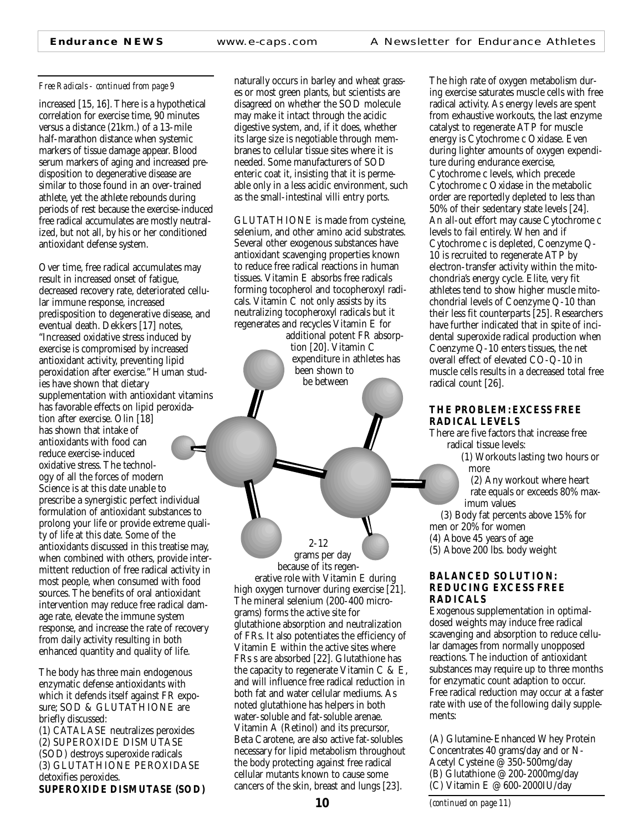#### *Free Radicals - continued from page 9*

increased [15, 16]. There is a hypothetical correlation for exercise time, 90 minutes versus a distance (21km.) of a 13-mile half-marathon distance when systemic markers of tissue damage appear. Blood serum markers of aging and increased predisposition to degenerative disease are similar to those found in an over-trained athlete, yet the athlete rebounds during periods of rest because the exercise-induced free radical accumulates are mostly neutralized, but not all, by his or her conditioned antioxidant defense system.

Over time, free radical accumulates may result in increased onset of fatigue, decreased recovery rate, deteriorated cellular immune response, increased predisposition to degenerative disease, and eventual death. Dekkers [17] notes, "Increased oxidative stress induced by exercise is compromised by increased antioxidant activity, preventing lipid peroxidation after exercise." Human studies have shown that dietary supplementation with antioxidant vitamins has favorable effects on lipid peroxidation after exercise. Olin [18] has shown that intake of antioxidants with food can reduce exercise-induced oxidative stress. The technology of all the forces of modern Science is at this date unable to prescribe a synergistic perfect individual formulation of antioxidant substances to prolong your life or provide extreme quality of life at this date. Some of the antioxidants discussed in this treatise may, when combined with others, provide intermittent reduction of free radical activity in most people, when consumed with food sources. The benefits of oral antioxidant intervention may reduce free radical damage rate, elevate the immune system response, and increase the rate of recovery from daily activity resulting in both enhanced quantity and quality of life.

The body has three main endogenous enzymatic defense antioxidants with which it defends itself against FR exposure; SOD & GLUTATHIONE are briefly discussed: (1) CATALASE neutralizes peroxides (2) SUPEROXIDE DISMUTASE (SOD) destroys superoxide radicals (3) GLUTATHIONE PEROXIDASE detoxifies peroxides. **SUPEROXIDE DISMUTASE (SOD)** naturally occurs in barley and wheat grasses or most green plants, but scientists are disagreed on whether the SOD molecule may make it intact through the acidic digestive system, and, if it does, whether its large size is negotiable through membranes to cellular tissue sites where it is needed. Some manufacturers of SOD enteric coat it, insisting that it is permeable only in a less acidic environment, such as the small-intestinal villi entry ports.

GLUTATHIONE is made from cysteine, selenium, and other amino acid substrates. Several other exogenous substances have antioxidant scavenging properties known to reduce free radical reactions in human tissues. Vitamin E absorbs free radicals forming tocopherol and tocopheroxyl radicals. Vitamin C not only assists by its neutralizing tocopheroxyl radicals but it regenerates and recycles Vitamin E for

> additional potent FR absorption [20]. Vitamin C expenditure in athletes has been shown to be between

> > 2-12

grams per day because of its regenerative role with Vitamin E during high oxygen turnover during exercise [21]. The mineral selenium (200-400 micrograms) forms the active site for glutathione absorption and neutralization of FRs. It also potentiates the efficiency of Vitamin E within the active sites where FRs s are absorbed [22]. Glutathione has the capacity to regenerate Vitamin C & E, and will influence free radical reduction in both fat and water cellular mediums. As noted glutathione has helpers in both water-soluble and fat-soluble arenae. Vitamin A (Retinol) and its precursor, Beta Carotene, are also active fat-solubles necessary for lipid metabolism throughout the body protecting against free radical cellular mutants known to cause some cancers of the skin, breast and lungs [23].

The high rate of oxygen metabolism during exercise saturates muscle cells with free radical activity. As energy levels are spent from exhaustive workouts, the last enzyme catalyst to regenerate ATP for muscle energy is Cytochrome c Oxidase. Even during lighter amounts of oxygen expenditure during endurance exercise, Cytochrome c levels, which precede Cytochrome c Oxidase in the metabolic order are reportedly depleted to less than 50% of their sedentary state levels [24]. An all-out effort may cause Cytochrome c levels to fail entirely. When and if Cytochrome c is depleted, Coenzyme Q-10 is recruited to regenerate ATP by electron-transfer activity within the mitochondria's energy cycle. Elite, very fit athletes tend to show higher muscle mitochondrial levels of Coenzyme Q-10 than their less fit counterparts [25]. Researchers have further indicated that in spite of incidental superoxide radical production when Coenzyme Q-10 enters tissues, the net overall effect of elevated CO-Q-10 in muscle cells results in a decreased total free radical count [26].

#### **THE PROBLEM: EXCESS FREE RADICAL LEVELS**

There are five factors that increase free radical tissue levels:

> (1) Workouts lasting two hours or more

(2) Any workout where heart rate equals or exceeds 80% maximum values

(3) Body fat percents above 15% for

men or 20% for women

(4) Above 45 years of age

(5) Above 200 lbs. body weight

#### **BALANCED SOLUTION: REDUCING EXCESS FREE RADICALS**

Exogenous supplementation in optimaldosed weights may induce free radical scavenging and absorption to reduce cellular damages from normally unopposed reactions. The induction of antioxidant substances may require up to three months for enzymatic count adaption to occur. Free radical reduction may occur at a faster rate with use of the following daily supplements:

(A) Glutamine-Enhanced Whey Protein Concentrates 40 grams/day and or N-Acetyl Cysteine @ 350-500mg/day (B) Glutathione @ 200-2000mg/day (C) Vitamin E @ 600-2000IU/day

*(continued on page 11)*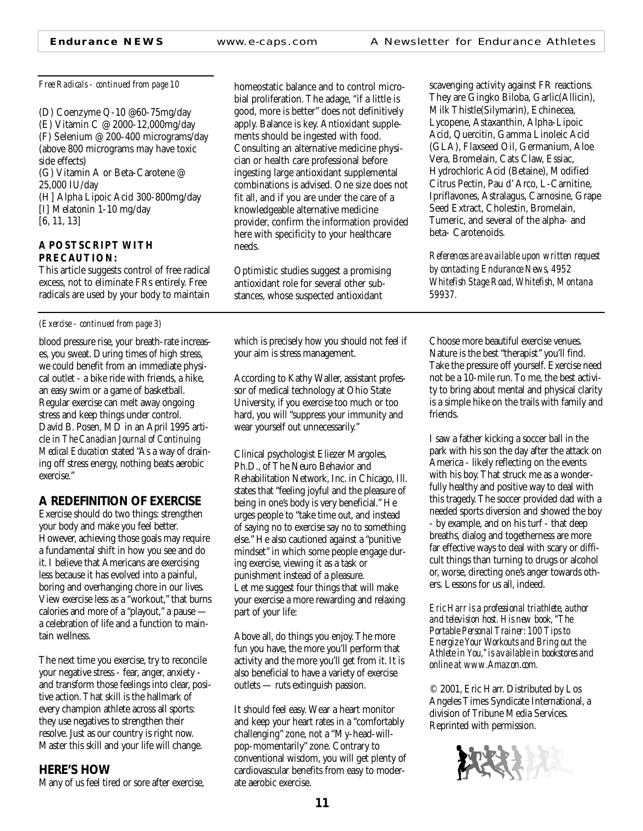(D) Coenzyme Q-10 @60-75mg/day (E) Vitamin C @ 2000-12,000mg/day (F) Selenium @ 200-400 micrograms/day (above 800 micrograms may have toxic side effects) (G) Vitamin A or Beta-Carotene @ 25,000 IU/day (H] Alpha Lipoic Acid 300-800mg/day [I] Melatonin 1-10 mg/day [6, 11, 13]

#### **A POSTSCRIPT WITH PRECAUTION:**

This article suggests control of free radical excess, not to eliminate FRs entirely. Free radicals are used by your body to maintain

#### *(Exercise - continued from page 3)*

blood pressure rise, your breath-rate increases, you sweat. During times of high stress, we could benefit from an immediate physical outlet - a bike ride with friends, a hike, an easy swim or a game of basketball. Regular exercise can melt away ongoing stress and keep things under control. David B. Posen, MD in an April 1995 article in *The Canadian Journal of Continuing Medical Education* stated "As a way of draining off stress energy, nothing beats aerobic exercise."

### **A REDEFINITION OF EXERCISE**

Exercise should do two things: strengthen your body and make you feel better. However, achieving those goals may require a fundamental shift in how you see and do it. I believe that Americans are exercising less because it has evolved into a painful, boring and overhanging chore in our lives. View exercise less as a "workout," that burns calories and more of a "playout," a pause a celebration of life and a function to maintain wellness.

The next time you exercise, try to reconcile your negative stress - fear, anger, anxiety and transform those feelings into clear, positive action. That skill is the hallmark of every champion athlete across all sports: they use negatives to strengthen their resolve. Just as our country is right now. Master this skill and your life will change.

### **HERE'S HOW**

Many of us feel tired or sore after exercise,

*Free Radicals - continued from page 10* homeostatic balance and to control microbial proliferation. The adage, "if a little is good, more is better" does not definitively apply. Balance is key. Antioxidant supplements should be ingested with food. Consulting an alternative medicine physician or health care professional before ingesting large antioxidant supplemental combinations is advised. One size does not fit all, and if you are under the care of a knowledgeable alternative medicine provider, confirm the information provided here with specificity to your healthcare needs.

> Optimistic studies suggest a promising antioxidant role for several other substances, whose suspected antioxidant

which is precisely how you should not feel if your aim is stress management.

According to Kathy Waller, assistant professor of medical technology at Ohio State University, if you exercise too much or too hard, you will "suppress your immunity and wear yourself out unnecessarily."

Clinical psychologist Eliezer Margoles, Ph.D., of The Neuro Behavior and Rehabilitation Network, Inc. in Chicago, Ill. states that "feeling joyful and the pleasure of being in one's body is very beneficial." He urges people to "take time out, and instead of saying no to exercise say no to something else." He also cautioned against a "punitive mindset" in which some people engage during exercise, viewing it as a task or punishment instead of a pleasure. Let me suggest four things that will make your exercise a more rewarding and relaxing part of your life:

Above all, do things you enjoy. The more fun you have, the more you'll perform that activity and the more you'll get from it. It is also beneficial to have a variety of exercise outlets — ruts extinguish passion.

It should feel easy. Wear a heart monitor and keep your heart rates in a "comfortably challenging" zone, not a "My-head-willpop-momentarily" zone. Contrary to conventional wisdom, you will get plenty of cardiovascular benefits from easy to moderate aerobic exercise.

scavenging activity against FR reactions. They are Gingko Biloba, Garlic(Allicin), Milk Thistle(Silymarin), Echinecea, Lycopene, Astaxanthin, Alpha-Lipoic Acid, Quercitin, Gamma Linoleic Acid (GLA), Flaxseed Oil, Germanium, Aloe Vera, Bromelain, Cats Claw, Essiac, Hydrochloric Acid (Betaine), Modified Citrus Pectin, Pau d' Arco, L-Carnitine, Ipriflavones, Astralagus, Carnosine, Grape Seed Extract, Cholestin, Bromelain, Tumeric, and several of the alpha- and beta- Carotenoids.

*References are available upon written request by contacting Endurance News, 4952 Whitefish Stage Road, Whitefish, Montana 59937.*

Choose more beautiful exercise venues. Nature is the best "therapist" you'll find. Take the pressure off yourself. Exercise need not be a 10-mile run. To me, the best activity to bring about mental and physical clarity is a simple hike on the trails with family and friends.

I saw a father kicking a soccer ball in the park with his son the day after the attack on America - likely reflecting on the events with his boy. That struck me as a wonderfully healthy and positive way to deal with this tragedy. The soccer provided dad with a needed sports diversion and showed the boy - by example, and on his turf - that deep breaths, dialog and togetherness are more far effective ways to deal with scary or difficult things than turning to drugs or alcohol or, worse, directing one's anger towards others. Lessons for us all, indeed.

*Eric Harr is a professional triathlete, author and television host. His new book, "The Portable Personal Trainer: 100 Tips to Energize Your Workouts and Bring out the Athlete in You,'' is available in bookstores and online at www.Amazon.com.*

© 2001, Eric Harr. Distributed by Los Angeles Times Syndicate International, a division of Tribune Media Services. Reprinted with permission.